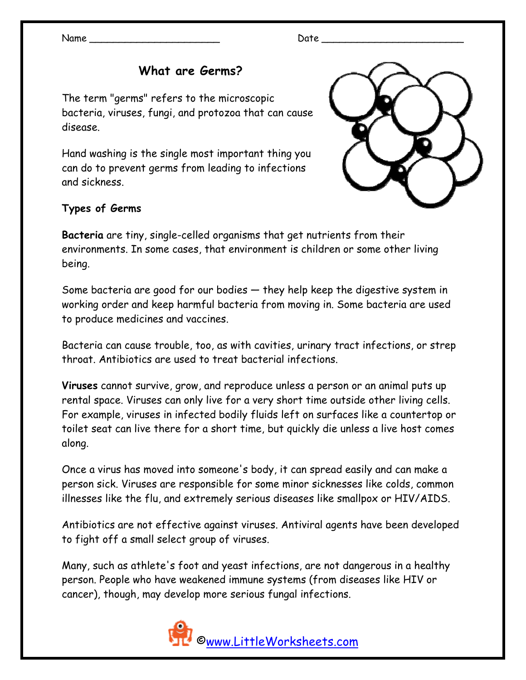Name \_\_\_\_\_\_\_\_\_\_\_\_\_\_\_\_\_\_\_\_\_\_ Date \_\_\_\_\_\_\_\_\_\_\_\_\_\_\_\_\_\_\_\_\_\_\_\_

## **What are Germs?**

The term "germs" refers to the microscopic bacteria, viruses, fungi, and protozoa that can cause disease.

Hand washing is the single most important thing you can do to prevent germs from leading to infections and sickness.



## **Types of Germs**

**Bacteria** are tiny, single-celled organisms that get nutrients from their environments. In some cases, that environment is children or some other living being.

Some bacteria are good for our bodies — they help keep the digestive system in working order and keep harmful bacteria from moving in. Some bacteria are used to produce medicines and vaccines.

Bacteria can cause trouble, too, as with cavities, urinary tract infections, or strep throat. Antibiotics are used to treat bacterial infections.

**Viruses** cannot survive, grow, and reproduce unless a person or an animal puts up rental space. Viruses can only live for a very short time outside other living cells. For example, viruses in infected bodily fluids left on surfaces like a countertop or toilet seat can live there for a short time, but quickly die unless a live host comes along.

Once a virus has moved into someone's body, it can spread easily and can make a person sick. Viruses are responsible for some minor sicknesses like colds, common illnesses like the flu, and extremely serious diseases like smallpox or HIV/AIDS.

Antibiotics are not effective against viruses. Antiviral agents have been developed to fight off a small select group of viruses.

Many, such as athlete's foot and yeast infections, are not dangerous in a healthy person. People who have weakened immune systems (from diseases like HIV or cancer), though, may develop more serious fungal infections.

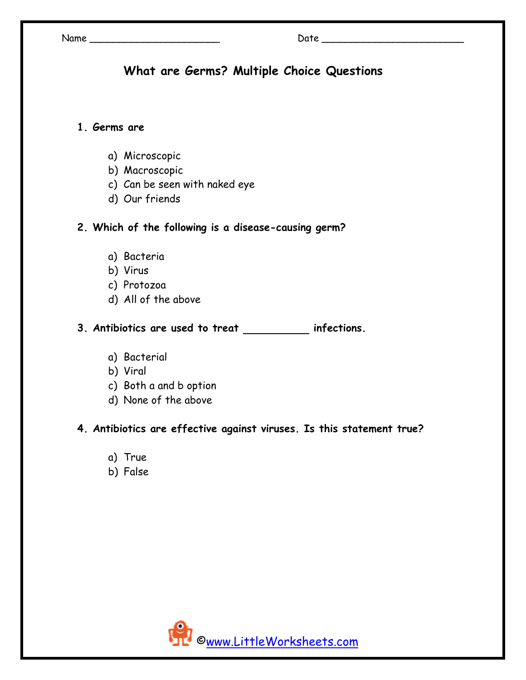# **What are Germs? Multiple Choice Questions**

### **1. Germs are**

- a) Microscopic
- b) Macroscopic
- c) Can be seen with naked eye
- d) Our friends
- **2. Which of the following is a disease-causing germ?** 
	- a) Bacteria
	- b) Virus
	- c) Protozoa
	- d) All of the above
- **3.** Antibiotics are used to treat \_\_\_\_\_\_\_\_\_\_ infections.
	- a) Bacterial
	- b) Viral
	- c) Both a and b option
	- d) None of the above

#### **4. Antibiotics are effective against viruses. Is this statement true?**

- a) True
- b) False

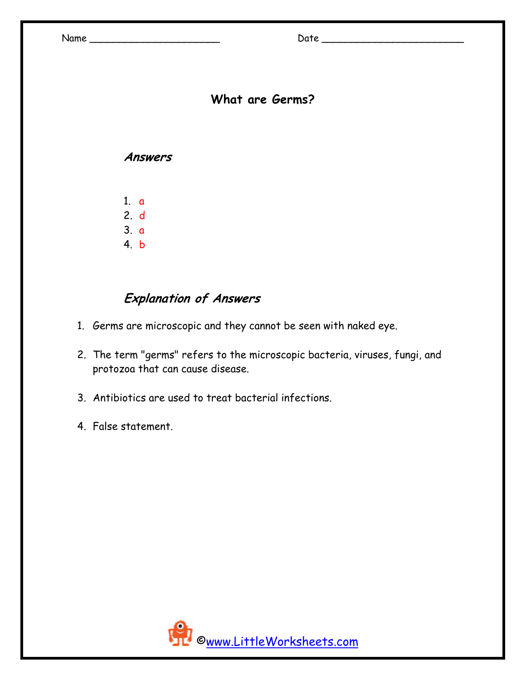# **What are Germs?**

#### **Answers**

1. a 2. d 3. a 4. b

# **Explanation of Answers**

- 1. Germs are microscopic and they cannot be seen with naked eye.
- 2. The term "germs" refers to the microscopic bacteria, viruses, fungi, and protozoa that can cause disease.
- 3. Antibiotics are used to treat bacterial infections.
- 4. False statement.